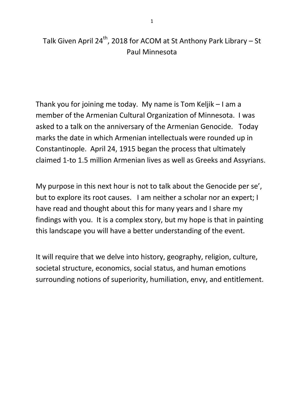# Talk Given April 24<sup>th</sup>, 2018 for ACOM at St Anthony Park Library – St Paul Minnesota

Thank you for joining me today. My name is Tom Keljik – I am a member of the Armenian Cultural Organization of Minnesota. I was asked to a talk on the anniversary of the Armenian Genocide. Today marks the date in which Armenian intellectuals were rounded up in Constantinople. April 24, 1915 began the process that ultimately claimed 1-to 1.5 million Armenian lives as well as Greeks and Assyrians.

My purpose in this next hour is not to talk about the Genocide per se', but to explore its root causes. I am neither a scholar nor an expert; I have read and thought about this for many years and I share my findings with you. It is a complex story, but my hope is that in painting this landscape you will have a better understanding of the event.

It will require that we delve into history, geography, religion, culture, societal structure, economics, social status, and human emotions surrounding notions of superiority, humiliation, envy, and entitlement.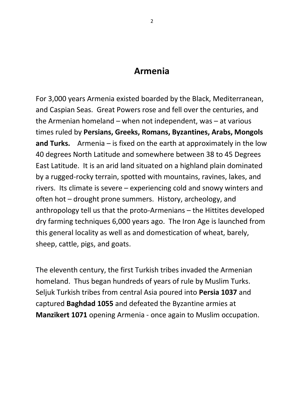## **Armenia**

For 3,000 years Armenia existed boarded by the Black, Mediterranean, and Caspian Seas. Great Powers rose and fell over the centuries, and the Armenian homeland – when not independent, was – at various times ruled by **Persians, Greeks, Romans, Byzantines, Arabs, Mongols and Turks.** Armenia – is fixed on the earth at approximately in the low 40 degrees North Latitude and somewhere between 38 to 45 Degrees East Latitude. It is an arid land situated on a highland plain dominated by a rugged-rocky terrain, spotted with mountains, ravines, lakes, and rivers. Its climate is severe – experiencing cold and snowy winters and often hot – drought prone summers. History, archeology, and anthropology tell us that the proto-Armenians – the Hittites developed dry farming techniques 6,000 years ago. The Iron Age is launched from this general locality as well as and domestication of wheat, barely, sheep, cattle, pigs, and goats.

The eleventh century, the first Turkish tribes invaded the Armenian homeland. Thus began hundreds of years of rule by Muslim Turks. Seljuk Turkish tribes from central Asia poured into **Persia 1037** and captured **Baghdad 1055** and defeated the Byzantine armies at **Manzikert 1071** opening Armenia - once again to Muslim occupation.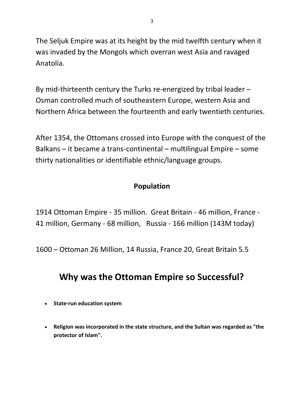The Seljuk Empire was at its height by the mid twelfth century when it was invaded by the Mongols which overran west Asia and ravaged Anatolia.

By mid-thirteenth century the Turks re-energized by tribal leader – Osman controlled much of southeastern Europe, western Asia and Northern Africa between the fourteenth and early twentieth centuries.

After 1354, the Ottomans crossed into Europe with the conquest of the Balkans – it became a trans-continental – multilingual Empire – some thirty nationalities or identifiable ethnic/language groups.

## **Population**

1914 Ottoman Empire - 35 million. Great Britain - 46 million, France - 41 million, Germany - 68 million, Russia - 166 million (143M today)

1600 – Ottoman 26 Million, 14 Russia, France 20, Great Britain 5.5

# **Why was the Ottoman Empire so Successful?**

- **State-run education system**
- **Religion was incorporated in the state structure, and the Sultan was regarded as "the protector of Islam".**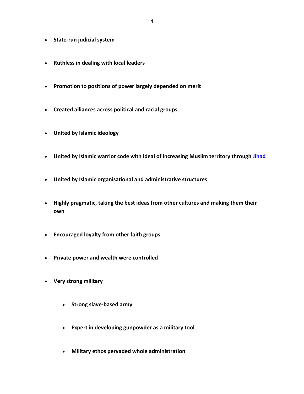- **State-run judicial system**
- **Ruthless in dealing with local leaders**
- **Promotion to positions of power largely depended on merit**
- **Created alliances across political and racial groups**
- **United by Islamic ideology**
- **United by Islamic warrior code with ideal of increasing Muslim territory through [Jihad](http://www.bbc.co.uk/religion/religions/islam/beliefs/jihad_1.shtml)**
- **United by Islamic organisational and administrative structures**
- **Highly pragmatic, taking the best ideas from other cultures and making them their own**
- **Encouraged loyalty from other faith groups**
- **Private power and wealth were controlled**
- **Very strong military**
	- **•** Strong slave-based army
	- **Expert in developing gunpowder as a military tool**
	- **Military ethos pervaded whole administration**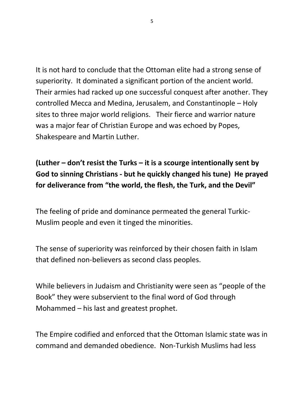It is not hard to conclude that the Ottoman elite had a strong sense of superiority. It dominated a significant portion of the ancient world. Their armies had racked up one successful conquest after another. They controlled Mecca and Medina, Jerusalem, and Constantinople – Holy sites to three major world religions. Their fierce and warrior nature was a major fear of Christian Europe and was echoed by Popes, Shakespeare and Martin Luther.

**(Luther – don't resist the Turks – it is a scourge intentionally sent by God to sinning Christians - but he quickly changed his tune) He prayed for deliverance from "the world, the flesh, the Turk, and the Devil"** 

The feeling of pride and dominance permeated the general Turkic-Muslim people and even it tinged the minorities.

The sense of superiority was reinforced by their chosen faith in Islam that defined non-believers as second class peoples.

While believers in Judaism and Christianity were seen as "people of the Book" they were subservient to the final word of God through Mohammed – his last and greatest prophet.

The Empire codified and enforced that the Ottoman Islamic state was in command and demanded obedience. Non-Turkish Muslims had less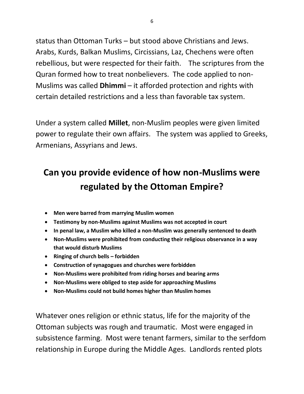status than Ottoman Turks – but stood above Christians and Jews. Arabs, Kurds, Balkan Muslims, Circissians, Laz, Chechens were often rebellious, but were respected for their faith. The scriptures from the Quran formed how to treat nonbelievers. The code applied to non-Muslims was called **Dhimmi** – it afforded protection and rights with certain detailed restrictions and a less than favorable tax system.

Under a system called **Millet**, non-Muslim peoples were given limited power to regulate their own affairs. The system was applied to Greeks, Armenians, Assyrians and Jews.

# **Can you provide evidence of how non-Muslims were regulated by the Ottoman Empire?**

- **Men were barred from marrying Muslim women**
- **Testimony by non-Muslims against Muslims was not accepted in court**
- **In penal law, a Muslim who killed a non-Muslim was generally sentenced to death**
- **Non-Muslims were prohibited from conducting their religious observance in a way that would disturb Muslims**
- **Ringing of church bells – forbidden**
- **Construction of synagogues and churches were forbidden**
- **Non-Muslims were prohibited from riding horses and bearing arms**
- **Non-Muslims were obliged to step aside for approaching Muslims**
- **Non-Muslims could not build homes higher than Muslim homes**

Whatever ones religion or ethnic status, life for the majority of the Ottoman subjects was rough and traumatic. Most were engaged in subsistence farming. Most were tenant farmers, similar to the serfdom relationship in Europe during the Middle Ages. Landlords rented plots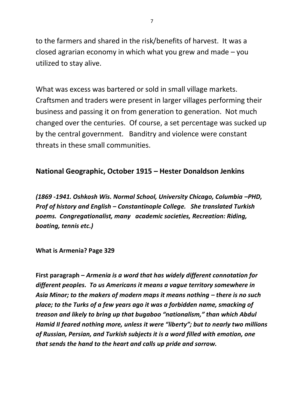to the farmers and shared in the risk/benefits of harvest. It was a closed agrarian economy in which what you grew and made – you utilized to stay alive.

What was excess was bartered or sold in small village markets. Craftsmen and traders were present in larger villages performing their business and passing it on from generation to generation. Not much changed over the centuries. Of course, a set percentage was sucked up by the central government. Banditry and violence were constant threats in these small communities.

#### **National Geographic, October 1915 – Hester Donaldson Jenkins**

*(1869 -1941. Oshkosh Wis. Normal School, University Chicago, Columbia –PHD, Prof of history and English – Constantinople College. She translated Turkish poems. Congregationalist, many academic societies, Recreation: Riding, boating, tennis etc.)* 

**What is Armenia? Page 329**

**First paragraph –** *Armenia is a word that has widely different connotation for different peoples. To us Americans it means a vague territory somewhere in*  Asia Minor; to the makers of modern maps it means nothing – there is no such *place; to the Turks of a few years ago it was a forbidden name, smacking of treason and likely to bring up that bugaboo "nationalism," than which Abdul Hamid II feared nothing more, unless it were "liberty"; but to nearly two millions of Russian, Persian, and Turkish subjects it is a word filled with emotion, one that sends the hand to the heart and calls up pride and sorrow.*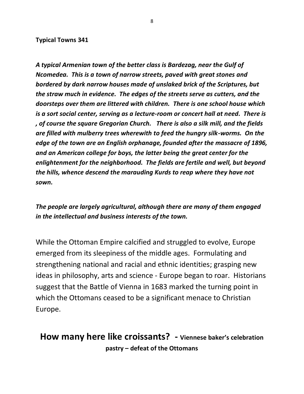#### **Typical Towns 341**

*A typical Armenian town of the better class is Bardezag, near the Gulf of Ncomedea. This is a town of narrow streets, paved with great stones and bordered by dark narrow houses made of unslaked brick of the Scriptures, but the straw much in evidence. The edges of the streets serve as cutters, and the doorsteps over them are littered with children. There is one school house which is a sort social center, serving as a lecture-room or concert hall at need. There is , of course the square Gregorian Church. There is also a silk mill, and the fields are filled with mulberry trees wherewith to feed the hungry silk-worms. On the edge of the town are an English orphanage, founded after the massacre of 1896, and an American college for boys, the latter being the great center for the enlightenment for the neighborhood. The fields are fertile and well, but beyond the hills, whence descend the marauding Kurds to reap where they have not sown.* 

*The people are largely agricultural, although there are many of them engaged in the intellectual and business interests of the town.* 

While the Ottoman Empire calcified and struggled to evolve, Europe emerged from its sleepiness of the middle ages. Formulating and strengthening national and racial and ethnic identities; grasping new ideas in philosophy, arts and science - Europe began to roar. Historians suggest that the Battle of Vienna in 1683 marked the turning point in which the Ottomans ceased to be a significant menace to Christian Europe.

# **How many here like croissants? - Viennese baker's celebration pastry – defeat of the Ottomans**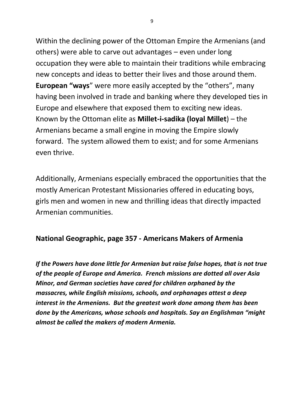Within the declining power of the Ottoman Empire the Armenians (and others) were able to carve out advantages – even under long occupation they were able to maintain their traditions while embracing new concepts and ideas to better their lives and those around them. **European "ways**" were more easily accepted by the "others", many having been involved in trade and banking where they developed ties in Europe and elsewhere that exposed them to exciting new ideas. Known by the Ottoman elite as **Millet-i-sadika (loyal Millet**) – the Armenians became a small engine in moving the Empire slowly forward. The system allowed them to exist; and for some Armenians even thrive.

Additionally, Armenians especially embraced the opportunities that the mostly American Protestant Missionaries offered in educating boys, girls men and women in new and thrilling ideas that directly impacted Armenian communities.

### **National Geographic, page 357 - Americans Makers of Armenia**

*If the Powers have done little for Armenian but raise false hopes, that is not true of the people of Europe and America. French missions are dotted all over Asia Minor, and German societies have cared for children orphaned by the massacres, while English missions, schools, and orphanages attest a deep interest in the Armenians. But the greatest work done among them has been done by the Americans, whose schools and hospitals. Say an Englishman "might almost be called the makers of modern Armenia.*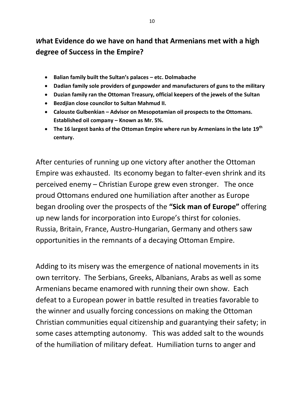# *W***hat Evidence do we have on hand that Armenians met with a high degree of Success in the Empire?**

- **Balian family built the Sultan's palaces – etc. Dolmabache**
- **Dadian family sole providers of gunpowder and manufacturers of guns to the military**
- **Duzian family ran the Ottoman Treasury, official keepers of the jewels of the Sultan**
- **Bezdjian close councilor to Sultan Mahmud II.**
- **Calouste Gulbenkian – Advisor on Mesopotamian oil prospects to the Ottomans. Established oil company – Known as Mr. 5%.**
- **The 16 largest banks of the Ottoman Empire where run by Armenians in the late 19th century.**

After centuries of running up one victory after another the Ottoman Empire was exhausted. Its economy began to falter-even shrink and its perceived enemy – Christian Europe grew even stronger. The once proud Ottomans endured one humiliation after another as Europe began drooling over the prospects of the **"Sick man of Europe"** offering up new lands for incorporation into Europe's thirst for colonies. Russia, Britain, France, Austro-Hungarian, Germany and others saw opportunities in the remnants of a decaying Ottoman Empire.

Adding to its misery was the emergence of national movements in its own territory. The Serbians, Greeks, Albanians, Arabs as well as some Armenians became enamored with running their own show. Each defeat to a European power in battle resulted in treaties favorable to the winner and usually forcing concessions on making the Ottoman Christian communities equal citizenship and guarantying their safety; in some cases attempting autonomy. This was added salt to the wounds of the humiliation of military defeat. Humiliation turns to anger and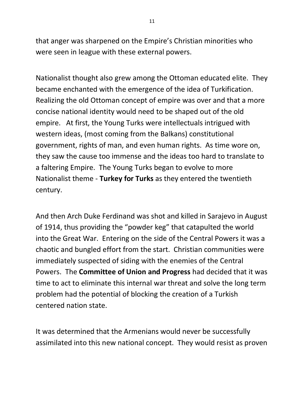that anger was sharpened on the Empire's Christian minorities who were seen in league with these external powers.

Nationalist thought also grew among the Ottoman educated elite. They became enchanted with the emergence of the idea of Turkification. Realizing the old Ottoman concept of empire was over and that a more concise national identity would need to be shaped out of the old empire. At first, the Young Turks were intellectuals intrigued with western ideas, (most coming from the Balkans) constitutional government, rights of man, and even human rights. As time wore on, they saw the cause too immense and the ideas too hard to translate to a faltering Empire. The Young Turks began to evolve to more Nationalist theme - **Turkey for Turks** as they entered the twentieth century.

And then Arch Duke Ferdinand was shot and killed in Sarajevo in August of 1914, thus providing the "powder keg" that catapulted the world into the Great War. Entering on the side of the Central Powers it was a chaotic and bungled effort from the start. Christian communities were immediately suspected of siding with the enemies of the Central Powers. The **Committee of Union and Progress** had decided that it was time to act to eliminate this internal war threat and solve the long term problem had the potential of blocking the creation of a Turkish centered nation state.

It was determined that the Armenians would never be successfully assimilated into this new national concept. They would resist as proven